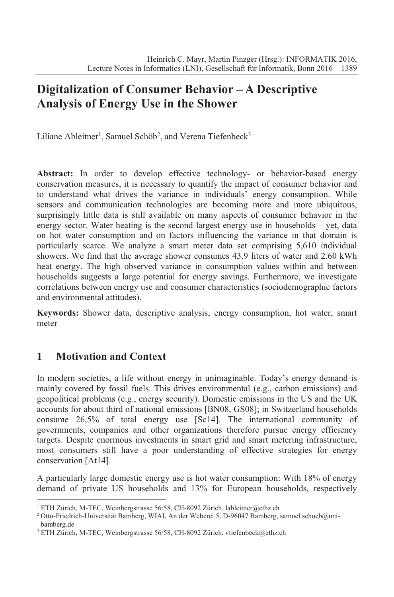# **Digitalization of Consumer Behavior – A Descriptive Analysis of Energy Use in the Shower**

Liliane Ableitner<sup>1</sup>, Samuel Schöb<sup>2</sup>, and Verena Tiefenbeck<sup>3</sup>

**Abstract:** In order to develop effective technology- or behavior-based energy conservation measures, it is necessary to quantify the impact of consumer behavior and to understand what drives the variance in individuals' energy consumption. While sensors and communication technologies are becoming more and more ubiquitous, surprisingly little data is still available on many aspects of consumer behavior in the energy sector. Water heating is the second largest energy use in households – yet, data on hot water consumption and on factors influencing the variance in that domain is particularly scarce. We analyze a smart meter data set comprising 5,610 individual showers. We find that the average shower consumes 43.9 liters of water and 2.60 kWh heat energy. The high observed variance in consumption values within and between households suggests a large potential for energy savings. Furthermore, we investigate correlations between energy use and consumer characteristics (sociodemographic factors and environmental attitudes).

**Keywords:** Shower data, descriptive analysis, energy consumption, hot water, smart meter

## **1 Motivation and Context**

In modern societies, a life without energy in unimaginable. Today's energy demand is mainly covered by fossil fuels. This drives environmental (e.g., carbon emissions) and geopolitical problems (e.g., energy security). Domestic emissions in the US and the UK accounts for about third of national emissions [BN08, GS08]; in Switzerland households consume 26,5% of total energy use [Sc14]. The international community of governments, companies and other organizations therefore pursue energy efficiency targets. Despite enormous investments in smart grid and smart metering infrastructure, most consumers still have a poor understanding of effective strategies for energy conservation [At14].

A particularly large domestic energy use is hot water consumption: With 18% of energy demand of private US households and 13% for European households, respectively

<sup>&</sup>lt;sup>1</sup> ETH Zürich, M-TEC, Weinbergstrasse 56/58, CH-8092 Zürich, lableitner@ethz.ch

<sup>&</sup>lt;sup>2</sup> Otto-Friedrich-Universität Bamberg, WIAI, An der Weberei 5, D-96047 Bamberg, samuel.schoeb@unibamberg.de

<sup>3</sup> ETH Zürich, M-TEC, Weinbergstrasse 56/58, CH-8092 Zürich, vtiefenbeck@ethz.ch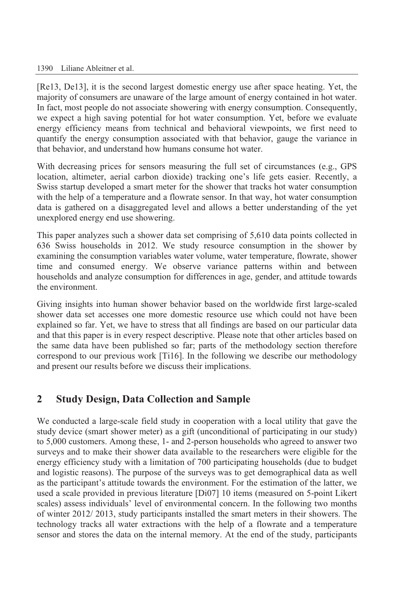#### 1390 Liliane Ableitner et al.

[Re13, De13], it is the second largest domestic energy use after space heating. Yet, the majority of consumers are unaware of the large amount of energy contained in hot water. In fact, most people do not associate showering with energy consumption. Consequently, we expect a high saving potential for hot water consumption. Yet, before we evaluate energy efficiency means from technical and behavioral viewpoints, we first need to quantify the energy consumption associated with that behavior, gauge the variance in that behavior, and understand how humans consume hot water.

With decreasing prices for sensors measuring the full set of circumstances (e.g., GPS location, altimeter, aerial carbon dioxide) tracking one's life gets easier. Recently, a Swiss startup developed a smart meter for the shower that tracks hot water consumption with the help of a temperature and a flowrate sensor. In that way, hot water consumption data is gathered on a disaggregated level and allows a better understanding of the yet unexplored energy end use showering.

This paper analyzes such a shower data set comprising of 5,610 data points collected in 636 Swiss households in 2012. We study resource consumption in the shower by examining the consumption variables water volume, water temperature, flowrate, shower time and consumed energy. We observe variance patterns within and between households and analyze consumption for differences in age, gender, and attitude towards the environment.

Giving insights into human shower behavior based on the worldwide first large-scaled shower data set accesses one more domestic resource use which could not have been explained so far. Yet, we have to stress that all findings are based on our particular data and that this paper is in every respect descriptive. Please note that other articles based on the same data have been published so far; parts of the methodology section therefore correspond to our previous work [Ti16]. In the following we describe our methodology and present our results before we discuss their implications.

### **2 Study Design, Data Collection and Sample**

We conducted a large-scale field study in cooperation with a local utility that gave the study device (smart shower meter) as a gift (unconditional of participating in our study) to 5,000 customers. Among these, 1- and 2-person households who agreed to answer two surveys and to make their shower data available to the researchers were eligible for the energy efficiency study with a limitation of 700 participating households (due to budget and logistic reasons). The purpose of the surveys was to get demographical data as well as the participant's attitude towards the environment. For the estimation of the latter, we used a scale provided in previous literature [Di07] 10 items (measured on 5-point Likert scales) assess individuals' level of environmental concern. In the following two months of winter 2012/ 2013, study participants installed the smart meters in their showers. The technology tracks all water extractions with the help of a flowrate and a temperature sensor and stores the data on the internal memory. At the end of the study, participants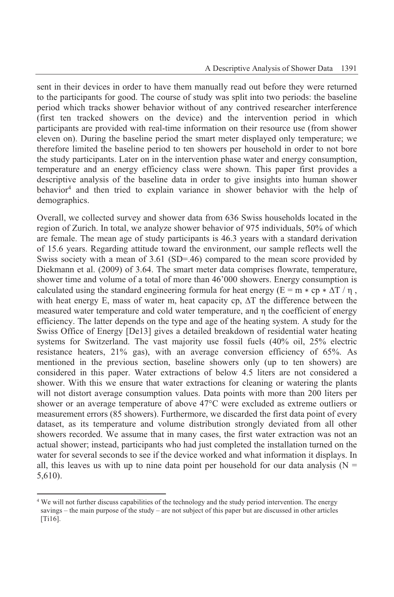sent in their devices in order to have them manually read out before they were returned to the participants for good. The course of study was split into two periods: the baseline period which tracks shower behavior without of any contrived researcher interference (first ten tracked showers on the device) and the intervention period in which participants are provided with real-time information on their resource use (from shower eleven on). During the baseline period the smart meter displayed only temperature; we therefore limited the baseline period to ten showers per household in order to not bore the study participants. Later on in the intervention phase water and energy consumption, temperature and an energy efficiency class were shown. This paper first provides a descriptive analysis of the baseline data in order to give insights into human shower behavior<sup>4</sup> and then tried to explain variance in shower behavior with the help of demographics.

Overall, we collected survey and shower data from 636 Swiss households located in the region of Zurich. In total, we analyze shower behavior of 975 individuals, 50% of which are female. The mean age of study participants is 46.3 years with a standard derivation of 15.6 years. Regarding attitude toward the environment, our sample reflects well the Swiss society with a mean of 3.61 (SD=.46) compared to the mean score provided by Diekmann et al. (2009) of 3.64. The smart meter data comprises flowrate, temperature, shower time and volume of a total of more than 46'000 showers. Energy consumption is calculated using the standard engineering formula for heat energy ( $E = m * cp * \Delta T / n$ , with heat energy E, mass of water m, heat capacity cp,  $\Delta T$  the difference between the measured water temperature and cold water temperature, and η the coefficient of energy efficiency. The latter depends on the type and age of the heating system. A study for the Swiss Office of Energy [De13] gives a detailed breakdown of residential water heating systems for Switzerland. The vast majority use fossil fuels (40% oil, 25% electric resistance heaters, 21% gas), with an average conversion efficiency of 65%. As mentioned in the previous section, baseline showers only (up to ten showers) are considered in this paper. Water extractions of below 4.5 liters are not considered a shower. With this we ensure that water extractions for cleaning or watering the plants will not distort average consumption values. Data points with more than 200 liters per shower or an average temperature of above 47°C were excluded as extreme outliers or measurement errors (85 showers). Furthermore, we discarded the first data point of every dataset, as its temperature and volume distribution strongly deviated from all other showers recorded. We assume that in many cases, the first water extraction was not an actual shower; instead, participants who had just completed the installation turned on the water for several seconds to see if the device worked and what information it displays. In all, this leaves us with up to nine data point per household for our data analysis ( $N =$ 5,610).

<sup>&</sup>lt;sup>4</sup> We will not further discuss capabilities of the technology and the study period intervention. The energy savings – the main purpose of the study – are not subject of this paper but are discussed in other articles [Ti16].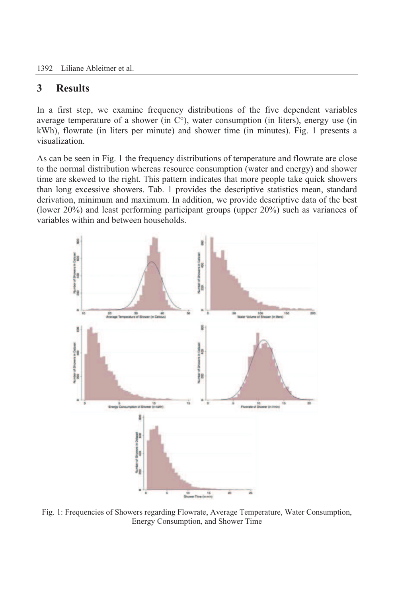1392 Liliane Ableitner et al.

### **3 Results**

In a first step, we examine frequency distributions of the five dependent variables average temperature of a shower (in  $C^{\circ}$ ), water consumption (in liters), energy use (in kWh), flowrate (in liters per minute) and shower time (in minutes). Fig. 1 presents a visualization.

As can be seen in Fig. 1 the frequency distributions of temperature and flowrate are close to the normal distribution whereas resource consumption (water and energy) and shower time are skewed to the right. This pattern indicates that more people take quick showers than long excessive showers. Tab. 1 provides the descriptive statistics mean, standard derivation, minimum and maximum. In addition, we provide descriptive data of the best (lower 20%) and least performing participant groups (upper 20%) such as variances of variables within and between households.



Fig. 1: Frequencies of Showers regarding Flowrate, Average Temperature, Water Consumption, Energy Consumption, and Shower Time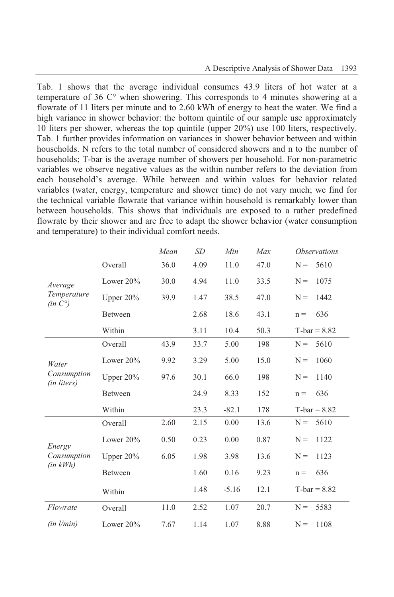Tab. 1 shows that the average individual consumes 43.9 liters of hot water at a temperature of 36 C° when showering. This corresponds to 4 minutes showering at a flowrate of 11 liters per minute and to 2.60 kWh of energy to heat the water. We find a high variance in shower behavior: the bottom quintile of our sample use approximately 10 liters per shower, whereas the top quintile (upper 20%) use 100 liters, respectively. Tab. 1 further provides information on variances in shower behavior between and within households. N refers to the total number of considered showers and n to the number of households; T-bar is the average number of showers per household. For non-parametric variables we observe negative values as the within number refers to the deviation from each household's average. While between and within values for behavior related variables (water, energy, temperature and shower time) do not vary much; we find for the technical variable flowrate that variance within household is remarkably lower than between households. This shows that individuals are exposed to a rather predefined flowrate by their shower and are free to adapt the shower behavior (water consumption and temperature) to their individual comfort needs.

|                                     |              | Mean | <b>SD</b> | Min     | Max  | <i><b>Observations</b></i> |
|-------------------------------------|--------------|------|-----------|---------|------|----------------------------|
|                                     | Overall      | 36.0 | 4.09      | 11.0    | 47.0 | 5610<br>$N =$              |
| Average                             | Lower $20\%$ | 30.0 | 4.94      | 11.0    | 33.5 | 1075<br>$N =$              |
| Temperature<br>(in C <sup>o</sup> ) | Upper $20\%$ | 39.9 | 1.47      | 38.5    | 47.0 | 1442<br>$N =$              |
|                                     | Between      |      | 2.68      | 18.6    | 43.1 | 636<br>$n =$               |
|                                     | Within       |      | 3.11      | 10.4    | 50.3 | $T-bar = 8.82$             |
|                                     | Overall      | 43.9 | 33.7      | 5.00    | 198  | 5610<br>$N =$              |
| Water                               | Lower 20%    | 9.92 | 3.29      | 5.00    | 15.0 | 1060<br>$N =$              |
| Consumption<br>(in liters)          | Upper $20\%$ | 97.6 | 30.1      | 66.0    | 198  | $N =$<br>1140              |
|                                     | Between      |      | 24.9      | 8.33    | 152  | 636<br>$n =$               |
|                                     | Within       |      | 23.3      | $-82.1$ | 178  | $T-bar = 8.82$             |
|                                     | Overall      | 2.60 | 2.15      | 0.00    | 13.6 | 5610<br>$N =$              |
| Energy                              | Lower $20\%$ | 0.50 | 0.23      | 0.00    | 0.87 | 1122<br>$N =$              |
| Consumption<br>$(in \; kWh)$        | Upper $20\%$ | 6.05 | 1.98      | 3.98    | 13.6 | 1123<br>$N =$              |
|                                     | Between      |      | 1.60      | 0.16    | 9.23 | 636<br>$n =$               |
|                                     | Within       |      | 1.48      | $-5.16$ | 12.1 | $T-bar = 8.82$             |
| Flowrate                            | Overall      | 11.0 | 2.52      | 1.07    | 20.7 | 5583<br>$N =$              |
| $(in \ l/min)$                      | Lower $20\%$ | 7.67 | 1.14      | 1.07    | 8.88 | $N =$<br>1108              |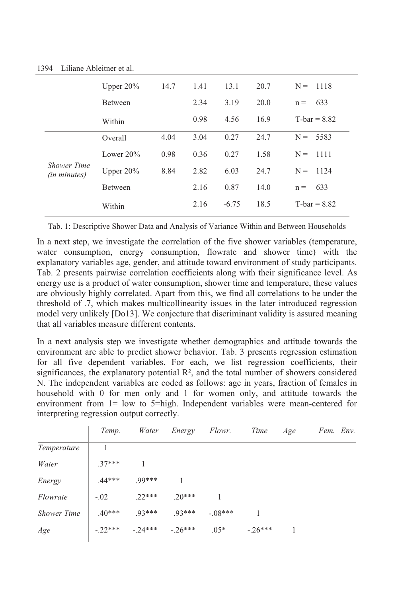|                                           | Upper $20\%$   | 14.7 | 1.41 | 13.1    | 20.7 | $N =$<br>1118  |
|-------------------------------------------|----------------|------|------|---------|------|----------------|
|                                           | Between        |      | 2.34 | 3.19    | 20.0 | 633<br>$n =$   |
|                                           | Within         |      | 0.98 | 4.56    | 16.9 | $T-bar = 8.82$ |
| <b>Shower Time</b><br><i>(in minutes)</i> | Overall        | 4.04 | 3.04 | 0.27    | 24.7 | $N =$<br>5583  |
|                                           | Lower $20\%$   | 0.98 | 0.36 | 0.27    | 1.58 | $N =$<br>1111  |
|                                           | Upper $20\%$   | 8.84 | 2.82 | 6.03    | 24.7 | 1124<br>$N =$  |
|                                           | <b>Between</b> |      | 2.16 | 0.87    | 14.0 | 633<br>$n =$   |
|                                           | Within         |      | 2.16 | $-6.75$ | 18.5 | $T-bar = 8.82$ |

1394 Liliane Ableitner et al.

Tab. 1: Descriptive Shower Data and Analysis of Variance Within and Between Households

In a next step, we investigate the correlation of the five shower variables (temperature, water consumption, energy consumption, flowrate and shower time) with the explanatory variables age, gender, and attitude toward environment of study participants. Tab. 2 presents pairwise correlation coefficients along with their significance level. As energy use is a product of water consumption, shower time and temperature, these values are obviously highly correlated. Apart from this, we find all correlations to be under the threshold of .7, which makes multicollinearity issues in the later introduced regression model very unlikely [Do13]. We conjecture that discriminant validity is assured meaning that all variables measure different contents.

In a next analysis step we investigate whether demographics and attitude towards the environment are able to predict shower behavior. Tab. 3 presents regression estimation for all five dependent variables. For each, we list regression coefficients, their significances, the explanatory potential  $\mathbb{R}^2$ , and the total number of showers considered N. The independent variables are coded as follows: age in years, fraction of females in household with 0 for men only and 1 for women only, and attitude towards the environment from 1= low to 5=high. Independent variables were mean-centered for interpreting regression output correctly.

|                    | Temp.     | Water     | Energy    | Flowr.    | Time      | Age | Fem. Env. |
|--------------------|-----------|-----------|-----------|-----------|-----------|-----|-----------|
| Temperature        |           |           |           |           |           |     |           |
| Water              | $.37***$  |           |           |           |           |     |           |
| Energy             | $.44***$  | .99***    |           |           |           |     |           |
| Flowrate           | $-.02$    | $22***$   | $20***$   |           |           |     |           |
| <b>Shower Time</b> | $.40***$  | $.93***$  | $93***$   | $-.08***$ |           |     |           |
| Age                | $-.22***$ | $-.24***$ | $-.26***$ | $.05*$    | $-.26***$ |     |           |
|                    |           |           |           |           |           |     |           |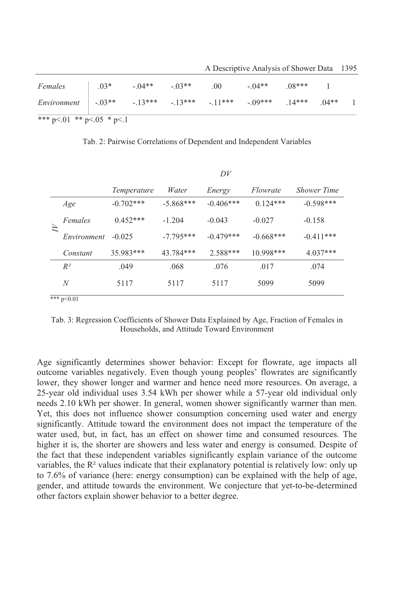|                              |        |                                     |  | A Descriptive Alialysis of Shower Data 1393 |         |          |         |  |  |
|------------------------------|--------|-------------------------------------|--|---------------------------------------------|---------|----------|---------|--|--|
| Females                      | $.03*$ | $-.04**$ $-.03**$                   |  | .00                                         | $-04**$ | $.08***$ |         |  |  |
| <i>Environment</i> $ -.03**$ |        | $-13***$ $-13***$ $-11***$ $-09***$ |  |                                             |         | $.14***$ | $.04**$ |  |  |
| *** p<.01 ** p<.05 * p<.1    |        |                                     |  |                                             |         |          |         |  |  |

A Descriptive Analysis of Shower Data 1395

Tab. 2: Pairwise Correlations of Dependent and Independent Variables

|             |             |             | D V         |             |                    |  |
|-------------|-------------|-------------|-------------|-------------|--------------------|--|
|             | Temperature | Water       | Energy      | Flowrate    | <b>Shower Time</b> |  |
| Age         | $-0.702***$ | $-5.868***$ | $-0.406***$ | $0.124***$  | $-0.598***$        |  |
| Females     | $0.452***$  | $-1.204$    | $-0.043$    | $-0.027$    | $-0.158$           |  |
| Environment | $-0.025$    | $-7.795***$ | $-0.479***$ | $-0.668***$ | $-0.411***$        |  |
| Constant    | 35.983***   | 43.784***   | 2.588***    | $10.998***$ | $4.037***$         |  |
| $R^2$       | .049        | .068        | .076        | .017        | .074               |  |
| N           | 5117        | 5117        | 5117        | 5099        | 5099               |  |
|             |             |             |             |             |                    |  |

 $***$  p<0.01

Tab. 3: Regression Coefficients of Shower Data Explained by Age, Fraction of Females in Households, and Attitude Toward Environment

Age significantly determines shower behavior: Except for flowrate, age impacts all outcome variables negatively. Even though young peoples' flowrates are significantly lower, they shower longer and warmer and hence need more resources. On average, a 25-year old individual uses 3.54 kWh per shower while a 57-year old individual only needs 2.10 kWh per shower. In general, women shower significantly warmer than men. Yet, this does not influence shower consumption concerning used water and energy significantly. Attitude toward the environment does not impact the temperature of the water used, but, in fact, has an effect on shower time and consumed resources. The higher it is, the shorter are showers and less water and energy is consumed. Despite of the fact that these independent variables significantly explain variance of the outcome variables, the R<sup>2</sup> values indicate that their explanatory potential is relatively low: only up to 7.6% of variance (here: energy consumption) can be explained with the help of age, gender, and attitude towards the environment. We conjecture that yet-to-be-determined other factors explain shower behavior to a better degree.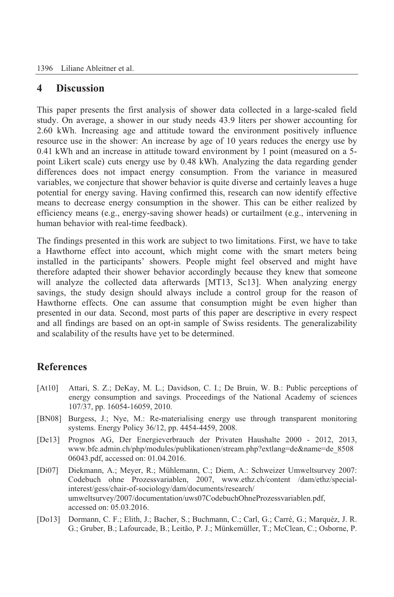#### **4 Discussion**

This paper presents the first analysis of shower data collected in a large-scaled field study. On average, a shower in our study needs 43.9 liters per shower accounting for 2.60 kWh. Increasing age and attitude toward the environment positively influence resource use in the shower: An increase by age of 10 years reduces the energy use by 0.41 kWh and an increase in attitude toward environment by 1 point (measured on a 5 point Likert scale) cuts energy use by 0.48 kWh. Analyzing the data regarding gender differences does not impact energy consumption. From the variance in measured variables, we conjecture that shower behavior is quite diverse and certainly leaves a huge potential for energy saving. Having confirmed this, research can now identify effective means to decrease energy consumption in the shower. This can be either realized by efficiency means (e.g., energy-saving shower heads) or curtailment (e.g., intervening in human behavior with real-time feedback).

The findings presented in this work are subject to two limitations. First, we have to take a Hawthorne effect into account, which might come with the smart meters being installed in the participants' showers. People might feel observed and might have therefore adapted their shower behavior accordingly because they knew that someone will analyze the collected data afterwards [MT13, Sc13]. When analyzing energy savings, the study design should always include a control group for the reason of Hawthorne effects. One can assume that consumption might be even higher than presented in our data. Second, most parts of this paper are descriptive in every respect and all findings are based on an opt-in sample of Swiss residents. The generalizability and scalability of the results have yet to be determined.

### **References**

- [At10] Attari, S. Z.; DeKay, M. L.; Davidson, C. I.; De Bruin, W. B.: Public perceptions of energy consumption and savings. Proceedings of the National Academy of sciences 107/37, pp. 16054-16059, 2010.
- [BN08] Burgess, J.; Nye, M.: Re-materialising energy use through transparent monitoring systems. Energy Policy 36/12, pp. 4454-4459, 2008.
- [De13] Prognos AG, Der Energieverbrauch der Privaten Haushalte 2000 2012, 2013, www.bfe.admin.ch/php/modules/publikationen/stream.php?extlang=de&name=de\_8508 06043.pdf, accessed on: 01.04.2016.
- [Di07] Diekmann, A.; Meyer, R.; Mühlemann, C.; Diem, A.: Schweizer Umweltsurvey 2007: Codebuch ohne Prozessvariablen, 2007, www.ethz.ch/content /dam/ethz/specialinterest/gess/chair-of-sociology/dam/documents/research/ umweltsurvey/2007/documentation/uws07CodebuchOhneProzessvariablen.pdf, accessed on: 05.03.2016.
- [Do13] Dormann, C. F.; Elith, J.; Bacher, S.; Buchmann, C.; Carl, G.; Carré, G.; Marquéz, J. R. G.; Gruber, B.; Lafourcade, B.; Leitão, P. J.; Münkemüller, T.; McClean, C.; Osborne, P.